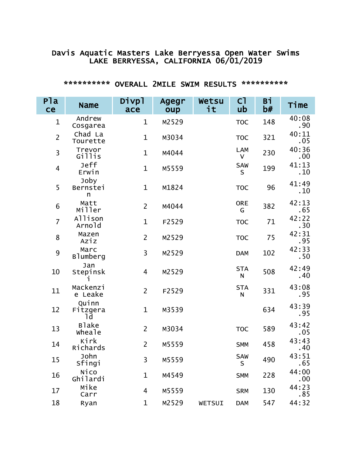### Davis Aquatic Masters Lake Berryessa Open Water Swims LAKE BERRYESSA, CALIFORNIA 06/01/2019

| P <sub>la</sub><br>ce   | <b>Name</b>             | Divpl<br>ace            | Agegr<br>oup | Wetsu<br>it | C <sub>1</sub><br>ub       | Bi<br>b# | Time         |
|-------------------------|-------------------------|-------------------------|--------------|-------------|----------------------------|----------|--------------|
| $\mathbf{1}$            | Andrew<br>Cosgarea      | $\mathbf{1}$            | M2529        |             | <b>TOC</b>                 | 148      | 40:08<br>.90 |
| $\overline{2}$          | Chad La<br>Tourette     | $\mathbf{1}$            | M3034        |             | <b>TOC</b>                 | 321      | 40:11<br>.05 |
| $\overline{\mathbf{3}}$ | Trevor<br>Gillis        | $\mathbf{1}$            | M4044        |             | <b>LAM</b><br>$\mathsf{V}$ | 230      | 40:36<br>.00 |
| $\overline{4}$          | Jeff<br>Erwin           | $\mathbf{1}$            | M5559        |             | SAW<br>S                   | 199      | 41:13<br>.10 |
| 5                       | Joby<br>Bernstei<br>n   | $\mathbf{1}$            | M1824        |             | <b>TOC</b>                 | 96       | 41:49<br>.10 |
| 6                       | Matt<br>Miller          | $\overline{2}$          | M4044        |             | <b>ORE</b><br>G            | 382      | 42:13<br>.65 |
| $\overline{7}$          | Allison<br>Arnold       | $\mathbf{1}$            | F2529        |             | <b>TOC</b>                 | 71       | 42:22<br>.30 |
| 8                       | Mazen<br>Aziz           | $\overline{2}$          | M2529        |             | <b>TOC</b>                 | 75       | 42:31<br>.95 |
| 9                       | Marc<br><b>Blumberg</b> | 3                       | M2529        |             | <b>DAM</b>                 | 102      | 42:33<br>.50 |
| 10                      | Jan<br>Stepinsk         | $\overline{\mathbf{4}}$ | M2529        |             | <b>STA</b><br>${\sf N}$    | 508      | 42:49<br>.40 |
| 11                      | Mackenzi<br>e Leake     | $\overline{2}$          | F2529        |             | <b>STA</b><br>$\mathsf{N}$ | 331      | 43:08<br>.95 |
| 12                      | Quinn<br>Fitzgera<br>1d | $\mathbf{1}$            | M3539        |             |                            | 634      | 43:39<br>.95 |
| 13                      | <b>B</b> lake<br>wheale | $\overline{2}$          | M3034        |             | <b>TOC</b>                 | 589      | 43:42<br>.05 |
| 14                      | Kirk<br>Richards        | $\overline{2}$          | M5559        |             | <b>SMM</b>                 | 458      | 43:43<br>.40 |
| 15                      | John<br>Sfingi          | $\overline{3}$          | M5559        |             | <b>SAW</b><br>S            | 490      | 43:51<br>.65 |
| 16                      | Nico<br>Ghilardi        | $\mathbf 1$             | M4549        |             | <b>SMM</b>                 | 228      | 44:00<br>.00 |
| 17                      | Mike<br>Carr            | 4                       | M5559        |             | <b>SRM</b>                 | 130      | 44:23<br>.85 |
| 18                      | Ryan                    | $\mathbf 1$             | M2529        | WETSUI      | <b>DAM</b>                 | 547      | 44:32        |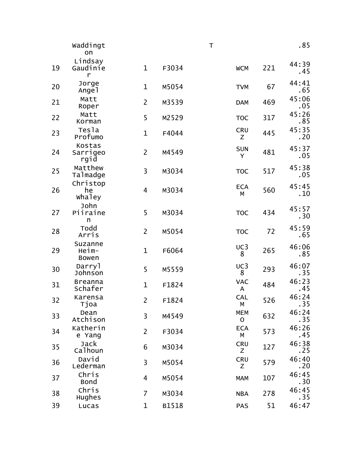|    | waddingt<br>on                   |                |       | $\top$ |                            |     | .85           |
|----|----------------------------------|----------------|-------|--------|----------------------------|-----|---------------|
| 19 | Lindsay<br>Gaudinie<br>r         | $\mathbf{1}$   | F3034 |        | <b>WCM</b>                 | 221 | 44:39<br>. 45 |
| 20 | Jorge<br>Angel                   | $\mathbf 1$    | M5054 |        | <b>TVM</b>                 | 67  | 44:41<br>.65  |
| 21 | Matt<br>Roper                    | $\overline{2}$ | M3539 |        | <b>DAM</b>                 | 469 | 45:06<br>.05  |
| 22 | Matt<br>Korman                   | 5              | M2529 |        | <b>TOC</b>                 | 317 | 45:26<br>.85  |
| 23 | Tesla<br>Profumo                 | $\mathbf{1}$   | F4044 |        | <b>CRU</b><br>Ζ            | 445 | 45:35<br>.20  |
| 24 | Kostas<br>Sarrigeo<br>rgid       | $\overline{2}$ | M4549 |        | <b>SUN</b><br>Y            | 481 | 45:37<br>.05  |
| 25 | Matthew<br>Talmadge              | 3              | M3034 |        | <b>TOC</b>                 | 517 | 45:38<br>.05  |
| 26 | Christop<br>he<br>whaley         | 4              | M3034 |        | <b>ECA</b><br>М            | 560 | 45:45<br>.10  |
| 27 | John<br>Piiraine<br>n            | 5              | M3034 |        | <b>TOC</b>                 | 434 | 45:57<br>.30  |
| 28 | Todd<br>Arris                    | $\overline{2}$ | M5054 |        | <b>TOC</b>                 | 72  | 45:59<br>.65  |
| 29 | Suzanne<br>Heim-<br><b>Bowen</b> | $\mathbf{1}$   | F6064 |        | UC3<br>8                   | 265 | 46:06<br>.85  |
| 30 | Darryl<br>Johnson                | 5              | M5559 |        | UC3<br>8                   | 293 | 46:07<br>.35  |
| 31 | <b>Breanna</b><br>Schafer        | $\mathbf 1$    | F1824 |        | <b>VAC</b><br>A            | 484 | 46:23<br>.45  |
| 32 | Karensa<br>Tjoa                  | 2              | F1824 |        | <b>CAL</b><br>М            | 526 | 46:24<br>.35  |
| 33 | Dean<br>Atchison                 | 3              | M4549 |        | <b>MEM</b><br>$\mathsf{O}$ | 632 | 46:24<br>. 35 |
| 34 | Katherin<br>e Yang               | $\overline{2}$ | F3034 |        | <b>ECA</b><br>M            | 573 | 46:26<br>. 45 |
| 35 | <b>Jack</b><br>Calhoun           | 6              | M3034 |        | <b>CRU</b><br>Z            | 127 | 46:38<br>.25  |
| 36 | David<br>Lederman                | 3              | M5054 |        | <b>CRU</b><br>Z            | 579 | 46:40<br>.20  |
| 37 | Chris<br><b>Bond</b>             | $\overline{4}$ | M5054 |        | <b>MAM</b>                 | 107 | 46:45<br>.30  |
| 38 | Chris<br>Hughes                  | $\overline{7}$ | M3034 |        | <b>NBA</b>                 | 278 | 46:45<br>. 35 |
| 39 | Lucas                            | $\mathbf 1$    | B1518 |        | <b>PAS</b>                 | 51  | 46:47         |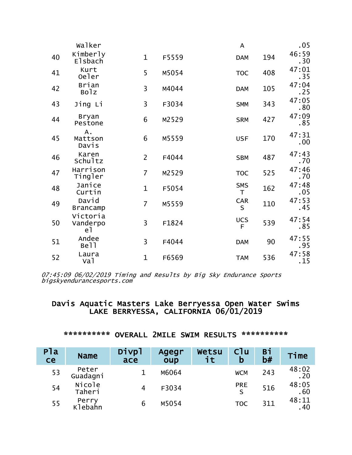|    | Walker                     |                |       | $\overline{\mathsf{A}}$ |     | .05           |
|----|----------------------------|----------------|-------|-------------------------|-----|---------------|
| 40 | Kimberly<br><b>Elsbach</b> | $\mathbf{1}$   | F5559 | <b>DAM</b>              | 194 | 46:59<br>. 30 |
| 41 | Kurt<br>Oeler              | 5              | M5054 | <b>TOC</b>              | 408 | 47:01<br>. 35 |
| 42 | Brian<br><b>Bolz</b>       | 3              | M4044 | <b>DAM</b>              | 105 | 47:04<br>.25  |
| 43 | Jing Li                    | 3              | F3034 | <b>SMM</b>              | 343 | 47:05<br>.80  |
| 44 | <b>Bryan</b><br>Pestone    | 6              | M2529 | <b>SRM</b>              | 427 | 47:09<br>.85  |
| 45 | Α.<br>Mattson<br>Davis     | 6              | M5559 | <b>USF</b>              | 170 | 47:31<br>.00  |
| 46 | Karen<br>Schultz           | $\overline{2}$ | F4044 | <b>SBM</b>              | 487 | 47:43<br>.70  |
| 47 | Harrison<br>Tingler        | $\overline{7}$ | M2529 | <b>TOC</b>              | 525 | 47:46<br>.70  |
| 48 | Janice<br>Curtin           | $\mathbf 1$    | F5054 | <b>SMS</b><br>T.        | 162 | 47:48<br>.05  |
| 49 | David<br><b>Brancamp</b>   | $\overline{7}$ | M5559 | <b>CAR</b><br>S         | 110 | 47:53<br>.45  |
| 50 | Victoria<br>Vanderpo<br>e1 | 3              | F1824 | <b>UCS</b><br>F         | 539 | 47:54<br>.85  |
| 51 | Andee<br>Bell              | 3              | F4044 | <b>DAM</b>              | 90  | 47:55<br>.95  |
| 52 | Laura<br>va1               | $\mathbf 1$    | F6569 | <b>TAM</b>              | 536 | 47:58<br>.15  |

# Davis Aquatic Masters Lake Berryessa Open Water Swims<br>LAKE BERRYESSA, CALIFORNIA 06/01/2019

| P1a<br>ce | <b>Name</b>       | Divpl<br>ace | Agegr<br>oup | Wetsu<br>it. | C1u<br>b   | Bi<br>b# | Time         |
|-----------|-------------------|--------------|--------------|--------------|------------|----------|--------------|
| 53        | Peter<br>Guadagni |              | M6064        |              | <b>WCM</b> | 243      | 48:02<br>.20 |
| 54        | Nicole<br>Taheri  | 4            | F3034        |              | <b>PRE</b> | 516      | 48:05<br>.60 |
| 55        | Perry<br>Klebahn  | 6            | M5054        |              | <b>TOC</b> | 311      | 48:11<br>.40 |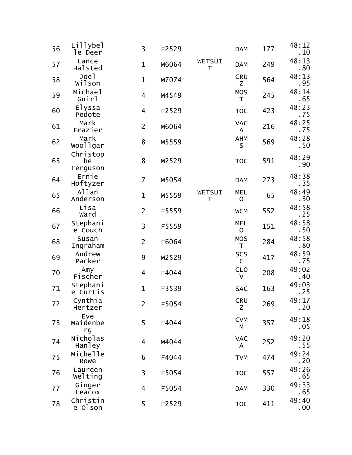| 56 | Lillybel<br>le Deer        | 3                       | F2529 |             | <b>DAM</b>                 | 177 | 48:12<br>.10  |
|----|----------------------------|-------------------------|-------|-------------|----------------------------|-----|---------------|
| 57 | Lance<br>Halsted           | $\mathbf{1}$            | M6064 | WETSUI<br>T | <b>DAM</b>                 | 249 | 48:13<br>.80  |
| 58 | Joel<br>wilson             | $\mathbf{1}$            | M7074 |             | <b>CRU</b><br>Z            | 564 | 48:13<br>.95  |
| 59 | Michael<br>Guirl           | $\overline{\mathbf{4}}$ | M4549 |             | <b>MOS</b><br>T            | 245 | 48:14<br>.65  |
| 60 | Elyssa<br>Pedote           | $\overline{\mathbf{4}}$ | F2529 |             | <b>TOC</b>                 | 423 | 48:23<br>.75  |
| 61 | Mark<br>Frazier            | $\overline{2}$          | M6064 |             | <b>VAC</b><br>$\mathsf{A}$ | 216 | 48:25<br>. 75 |
| 62 | Mark<br>woollgar           | 8                       | M5559 |             | AHM<br>$\mathsf{S}$        | 569 | 48:28<br>. 50 |
| 63 | Christop<br>he<br>Ferguson | 8                       | M2529 |             | <b>TOC</b>                 | 591 | 48:29<br>.90  |
| 64 | Ernie<br>Hoftyzer          | $\overline{7}$          | M5054 |             | <b>DAM</b>                 | 273 | 48:38<br>. 35 |
| 65 | Allan<br>Anderson          | $\mathbf{1}$            | M5559 | WETSUI<br>T | <b>MEL</b><br>$\mathbf 0$  | 65  | 48:49<br>.30  |
| 66 | Lisa<br>Ward               | $\overline{2}$          | F5559 |             | <b>WCM</b>                 | 552 | 48:58<br>.25  |
| 67 | Stephani<br>e Couch        | $\overline{3}$          | F5559 |             | <b>MEL</b><br>$\mathbf 0$  | 151 | 48:58<br>. 50 |
| 68 | Susan<br>Ingraham          | $\overline{2}$          | F6064 |             | <b>MOS</b><br>$\mathsf{T}$ | 284 | 48:58<br>.80  |
| 69 | Andrew<br>Packer           | 9                       | M2529 |             | <b>SCS</b><br>$\mathsf{C}$ | 417 | 48:59<br>. 75 |
| 70 | Amy<br>Fischer             | $\overline{4}$          | F4044 |             | <b>CLO</b><br>$\mathsf{V}$ | 208 | 49:02<br>. 40 |
| 71 | Stephani<br>e Curtis       | $\mathbf 1$             | F3539 |             | <b>SAC</b>                 | 163 | 49:03<br>.25  |
| 72 | Cynthia<br>Hertzer         | $\overline{2}$          | F5054 |             | <b>CRU</b><br>Z            | 269 | 49:17<br>.20  |
| 73 | Eve<br>Maidenbe<br>rg      | 5                       | F4044 |             | <b>CVM</b><br>М            | 357 | 49:18<br>.05  |
| 74 | Nicholas<br>Hanley         | $\overline{4}$          | M4044 |             | <b>VAC</b><br>A            | 252 | 49:20<br>. 55 |
| 75 | Michelle<br>Rowe           | 6                       | F4044 |             | <b>TVM</b>                 | 474 | 49:24<br>.20  |
| 76 | Laureen<br>Welting         | 3                       | F5054 |             | <b>TOC</b>                 | 557 | 49:26<br>.65  |
| 77 | Ginger<br>Leacox           | $\overline{\mathbf{4}}$ | F5054 |             | <b>DAM</b>                 | 330 | 49:33<br>.65  |
| 78 | Christin<br>e Olson        | 5                       | F2529 |             | <b>TOC</b>                 | 411 | 49:40<br>.00  |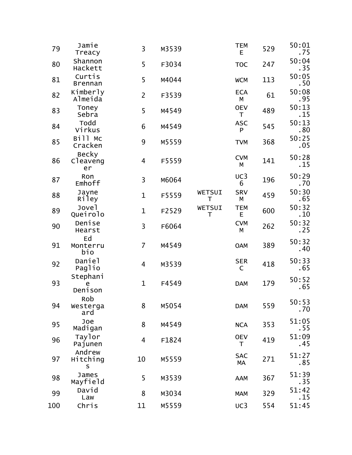| 79  | Jamie<br>Treacy                | 3              | M3539 |             | <b>TEM</b><br>E  | 529 | 50:01<br>. 75 |
|-----|--------------------------------|----------------|-------|-------------|------------------|-----|---------------|
| 80  | Shannon<br>Hackett             | 5              | F3034 |             | <b>TOC</b>       | 247 | 50:04<br>.35  |
| 81  | Curtis<br><b>Brennan</b>       | 5              | M4044 |             | <b>WCM</b>       | 113 | 50:05<br>.50  |
| 82  | Kimberly<br>Almeida            | $\overline{2}$ | F3539 |             | <b>ECA</b><br>М  | 61  | 50:08<br>.95  |
| 83  | Toney<br>Sebra                 | 5              | M4549 |             | <b>OEV</b><br>T  | 489 | 50:13<br>. 15 |
| 84  | Todd<br>Virkus                 | 6              | M4549 |             | <b>ASC</b><br>P  | 545 | 50:13<br>.80  |
| 85  | Bill Mc<br>Cracken             | 9              | M5559 |             | <b>TVM</b>       | 368 | 50:25<br>.05  |
| 86  | <b>Becky</b><br>Cleaveng<br>er | 4              | F5559 |             | <b>CVM</b><br>М  | 141 | 50:28<br>.15  |
| 87  | Ron<br>Emhoff                  | 3              | M6064 |             | UC3<br>6         | 196 | 50:29<br>. 70 |
| 88  | Jayne<br>Riley                 | $\mathbf 1$    | F5559 | WETSUI<br>T | <b>SRV</b><br>М  | 459 | 50:30<br>.65  |
| 89  | Jove <sub>1</sub><br>Queirolo  | 1              | F2529 | WETSUI<br>T | <b>TEM</b><br>E  | 600 | 50:32<br>. 10 |
| 90  | Denise<br>Hearst               | 3              | F6064 |             | <b>CVM</b><br>М  | 262 | 50:32<br>.25  |
| 91  | Ed<br>Monterru<br>bio          | $\overline{7}$ | M4549 |             | <b>OAM</b>       | 389 | 50:32<br>.40  |
| 92  | Daniel<br>Paglio               | 4              | M3539 |             | <b>SER</b><br>C  | 418 | 50:33<br>.65  |
| 93  | Stephani<br>e<br>Denison       | $\mathbf{1}$   | F4549 |             | <b>DAM</b>       | 179 | 50:52<br>.65  |
| 94  | Rob<br>Westerga<br>ard         | 8              | M5054 |             | <b>DAM</b>       | 559 | 50:53<br>. 70 |
| 95  | Joe<br>Madigan                 | 8              | M4549 |             | <b>NCA</b>       | 353 | 51:05<br>. 55 |
| 96  | Taylor<br>Pajunen              | 4              | F1824 |             | <b>OEV</b><br>T  | 419 | 51:09<br>. 45 |
| 97  | Andrew<br>Hitching<br>S        | 10             | M5559 |             | <b>SAC</b><br>МA | 271 | 51:27<br>.85  |
| 98  | James<br>Mayfield              | 5              | M3539 |             | <b>AAM</b>       | 367 | 51:39<br>.35  |
| 99  | David<br>Law                   | 8              | M3034 |             | <b>MAM</b>       | 329 | 51:42<br>. 15 |
| 100 | Chris                          | 11             | M5559 |             | UC3              | 554 | 51:45         |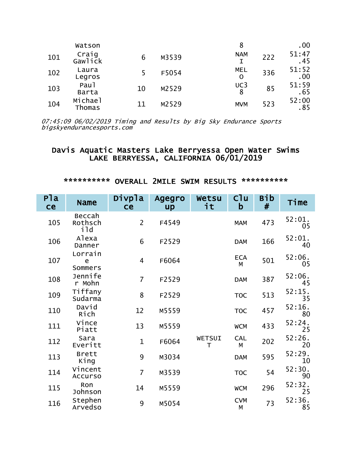|     | Watson                    |    |       | 8               |     | .00          |
|-----|---------------------------|----|-------|-----------------|-----|--------------|
| 101 | Craig<br>Gawlick          |    | M3539 | <b>NAM</b>      | 222 | 51:47<br>.45 |
| 102 | Laura<br>Legros           |    | F5054 | <b>MEL</b><br>O | 336 | 51:52<br>.00 |
| 103 | Pau <sub>1</sub><br>Barta | 10 | M2529 | UC3<br>8        | 85  | 51:59<br>.65 |
| 104 | Michael<br>Thomas         | 11 | M2529 | <b>MVM</b>      | 523 | 52:00<br>.85 |

# Davis Aquatic Masters Lake Berryessa Open Water Swims<br>LAKE BERRYESSA, CALIFORNIA 06/01/2019

| P <sub>1a</sub><br>ce | <b>Name</b>               | Divpla<br>ce   | Agegro<br>up | Wetsu<br>it | Cl <sub>u</sub><br>b | Bib<br># | Time         |
|-----------------------|---------------------------|----------------|--------------|-------------|----------------------|----------|--------------|
| 105                   | Beccah<br>Rothsch<br>ild  | $\overline{2}$ | F4549        |             | <b>MAM</b>           | 473      | 52:01.<br>05 |
| 106                   | Alexa<br>Danner           | 6              | F2529        |             | <b>DAM</b>           | 166      | 52:01.<br>40 |
| 107                   | Lorrain<br>e<br>Sommers   | 4              | F6064        |             | <b>ECA</b><br>M      | 501      | 52:06.<br>05 |
| 108                   | Jennife<br>r Mohn         | $\overline{7}$ | F2529        |             | <b>DAM</b>           | 387      | 52:06.<br>45 |
| 109                   | Tiffany<br>Sudarma        | 8              | F2529        |             | <b>TOC</b>           | 513      | 52:15.<br>35 |
| 110                   | David<br>Rich             | 12             | M5559        |             | <b>TOC</b>           | 457      | 52:16.<br>80 |
| 111                   | Vince<br>Piatt            | 13             | M5559        |             | <b>WCM</b>           | 433      | 52:24.<br>25 |
| 112                   | Sara<br>Everitt           | $\mathbf{1}$   | F6064        | WETSUI<br>T | <b>CAL</b><br>M      | 202      | 52:26.<br>20 |
| 113                   | <b>Brett</b><br>King      | 9              | M3034        |             | <b>DAM</b>           | 595      | 52:29.<br>10 |
| 114                   | Vincent<br><b>Accurso</b> | $\overline{7}$ | M3539        |             | <b>TOC</b>           | 54       | 52:30.<br>90 |
| 115                   | Ron<br>Johnson            | 14             | M5559        |             | <b>WCM</b>           | 296      | 52:32.<br>25 |
| 116                   | Stephen<br>Arvedso        | 9              | M5054        |             | <b>CVM</b><br>М      | 73       | 52:36.<br>85 |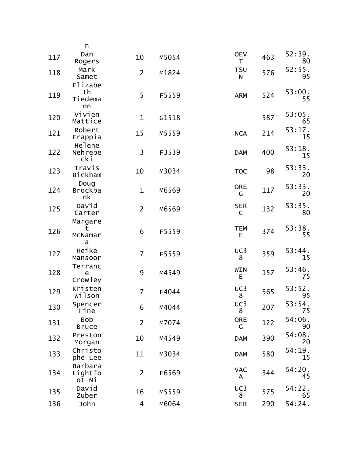|     | n                              |                |       |                            |     |              |
|-----|--------------------------------|----------------|-------|----------------------------|-----|--------------|
| 117 | Dan<br>Rogers                  | 10             | M5054 | <b>OEV</b><br>T            | 463 | 52:39.<br>80 |
| 118 | Mark<br>Samet                  | $\overline{2}$ | M1824 | <b>TSU</b><br>$\mathsf{N}$ | 576 | 52:55.<br>95 |
| 119 | Elizabe<br>th<br>Tiedema<br>nn | 5              | F5559 | <b>ARM</b>                 | 524 | 53:00.<br>55 |
| 120 | Vivien<br>Mattice              | $\mathbf 1$    | G1518 |                            | 587 | 53:05.<br>65 |
| 121 | Robert<br>Frappia              | 15             | M5559 | <b>NCA</b>                 | 214 | 53:17.<br>15 |
| 122 | Helene<br>Nehrebe<br>cki       | $\overline{3}$ | F3539 | <b>DAM</b>                 | 400 | 53:18.<br>15 |
| 123 | Travis<br><b>Bickham</b>       | 10             | M3034 | <b>TOC</b>                 | 98  | 53:33.<br>20 |
| 124 | Doug<br><b>Brockba</b><br>nk   | $\mathbf 1$    | M6569 | <b>ORE</b><br>G            | 117 | 53:33.<br>20 |
| 125 | David<br>Carter                | $\overline{2}$ | M6569 | <b>SER</b><br>$\mathsf{C}$ | 132 | 53:35.<br>80 |
| 126 | Margare<br>τ<br>McNamar<br>a   | 6              | F5559 | <b>TEM</b><br>E            | 374 | 53:38.<br>55 |
| 127 | Heike<br>Mansoor               | $\overline{7}$ | F5559 | UC3<br>8                   | 359 | 53:44.<br>15 |
| 128 | Terranc<br>e<br>Crowley        | 9              | M4549 | WIN<br>E                   | 157 | 53:46.<br>75 |
| 129 | Kristen<br>wilson              | $\overline{7}$ | F4044 | UC3<br>8                   | 565 | 53:52.<br>95 |
| 130 | Spencer<br>Fine                | 6              | M4044 | UC3<br>8                   | 207 | 53:54.<br>75 |
| 131 | <b>Bob</b><br><b>Bruce</b>     | $\overline{2}$ | M7074 | <b>ORE</b><br>G            | 122 | 54:06.<br>90 |
| 132 | Preston<br>Morgan              | 10             | M4549 | <b>DAM</b>                 | 390 | 54:08.<br>20 |
| 133 | Christo<br>phe Lee             | 11             | M3034 | <b>DAM</b>                 | 580 | 54:19.<br>15 |
| 134 | Barbara<br>Lightfo<br>ot-Ni    | $\overline{2}$ | F6569 | <b>VAC</b><br>A            | 344 | 54:20.<br>45 |
| 135 | David<br>Zuber                 | 16             | M5559 | UC3<br>8                   | 575 | 54:22.<br>65 |
| 136 | John                           | 4              | M6064 | <b>SER</b>                 | 290 | 54:24.       |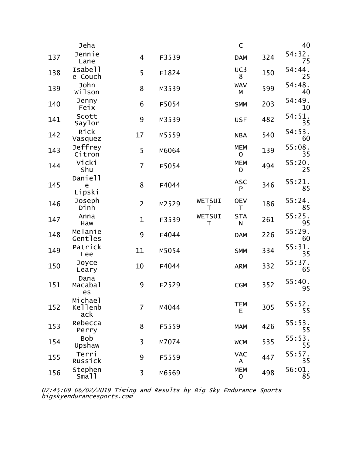|     | Jeha                      |                |       |             | $\mathsf C$                |     | 40           |
|-----|---------------------------|----------------|-------|-------------|----------------------------|-----|--------------|
| 137 | Jennie<br>Lane            | 4              | F3539 |             | <b>DAM</b>                 | 324 | 54:32.<br>75 |
| 138 | Isabell<br>e Couch        | 5              | F1824 |             | UC3<br>8                   | 150 | 54:44.<br>25 |
| 139 | John<br>wilson            | 8              | M3539 |             | <b>WAV</b><br>M            | 599 | 54:48.<br>40 |
| 140 | Jenny<br>Feix             | 6              | F5054 |             | <b>SMM</b>                 | 203 | 54:49.<br>10 |
| 141 | Scott<br>Saylor           | 9              | M3539 |             | <b>USF</b>                 | 482 | 54:51.<br>35 |
| 142 | Rick<br>Vasquez           | 17             | M5559 |             | <b>NBA</b>                 | 540 | 54:53.<br>60 |
| 143 | Jeffrey<br>Citron         | 5              | M6064 |             | <b>MEM</b><br>$\mathbf 0$  | 139 | 55:08.<br>35 |
| 144 | Vicki<br>Shu              | $\overline{7}$ | F5054 |             | <b>MEM</b><br>$\mathbf 0$  | 494 | 55:20.<br>25 |
| 145 | Daniell<br>e<br>Lipski    | 8              | F4044 |             | <b>ASC</b><br>P            | 346 | 55:21.<br>85 |
| 146 | Joseph<br>Dinh            | $\overline{2}$ | M2529 | WETSUI<br>Τ | <b>OEV</b><br>T            | 186 | 55:24.<br>85 |
| 147 | Anna<br>Haw               | $\mathbf{1}$   | F3539 | WETSUI<br>Τ | <b>STA</b><br>$\mathsf{N}$ | 261 | 55:25.<br>95 |
| 148 | Melanie<br>Gentles        | 9              | F4044 |             | <b>DAM</b>                 | 226 | 55:29.<br>60 |
| 149 | Patrick<br>Lee            | 11             | M5054 |             | <b>SMM</b>                 | 334 | 55:31.<br>35 |
| 150 | Joyce<br>Leary            | 10             | F4044 |             | <b>ARM</b>                 | 332 | 55:37.<br>65 |
| 151 | Dana<br>Macabal<br>es     | 9              | F2529 |             | <b>CGM</b>                 | 352 | 55:40.<br>95 |
| 152 | Michael<br>Kellenb<br>ack | $\overline{7}$ | M4044 |             | <b>TEM</b><br>E            | 305 | 55:52.<br>55 |
| 153 | Rebecca<br>Perry          | 8              | F5559 |             | <b>MAM</b>                 | 426 | 55:53.<br>55 |
| 154 | <b>Bob</b><br>Upshaw      | 3              | M7074 |             | <b>WCM</b>                 | 535 | 55:53.<br>55 |
| 155 | Terri<br>Russick          | 9              | F5559 |             | <b>VAC</b><br>A            | 447 | 55:57.<br>35 |
| 156 | Stephen<br>Small          | 3              | M6569 |             | <b>MEM</b><br>$\mathsf O$  | 498 | 56:01.<br>85 |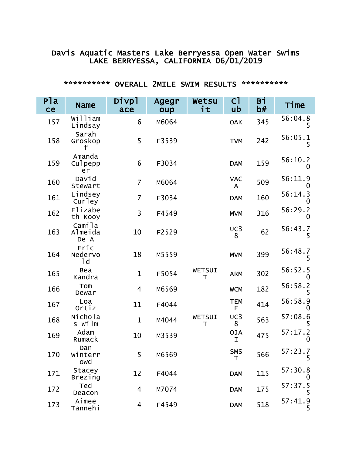# Davis Aquatic Masters Lake Berryessa Open Water Swims<br>LAKE BERRYESSA, CALIFORNIA 06/01/2019

| Pla<br>ce | <b>Name</b>               | Divpl<br>ace   | Agegr<br>oup | Wetsu<br>it | C <sub>1</sub><br>ub | Вi<br>b# | Time          |
|-----------|---------------------------|----------------|--------------|-------------|----------------------|----------|---------------|
| 157       | William<br>Lindsay        | 6              | M6064        |             | <b>OAK</b>           | 345      | 56:04.8<br>5. |
| 158       | Sarah<br>Groskop<br>╆     | 5              | F3539        |             | <b>TVM</b>           | 242      | 56:05.1<br>5  |
| 159       | Amanda<br>Culpepp<br>er   | 6              | F3034        |             | <b>DAM</b>           | 159      | 56:10.2<br>O  |
| 160       | David<br>Stewart          | 7              | M6064        |             | <b>VAC</b><br>A      | 509      | 56:11.9<br>O  |
| 161       | Lindsey<br>Curley         | $\overline{7}$ | F3034        |             | <b>DAM</b>           | 160      | 56:14.3<br>0  |
| 162       | <b>Elizabe</b><br>th Kooy | 3              | F4549        |             | <b>MVM</b>           | 316      | 56:29.2<br>O  |
| 163       | Camila<br>Almeida<br>De A | 10             | F2529        |             | UC3<br>8             | 62       | 56:43.7<br>5  |
| 164       | Eric<br>Nedervo<br>1d     | 18             | M5559        |             | <b>MVM</b>           | 399      | 56:48.7<br>5  |
| 165       | Bea<br>Kandra             | $\mathbf{1}$   | F5054        | WETSUI<br>T | <b>ARM</b>           | 302      | 56:52.5<br>0  |
| 166       | Tom<br>Dewar              | $\overline{4}$ | M6569        |             | <b>WCM</b>           | 182      | 56:58.2       |
| 167       | Loa<br>Ortiz              | 11             | F4044        |             | <b>TEM</b><br>Е      | 414      | 56:58.9<br>0  |
| 168       | Nichola<br>s wilm         | $\mathbf{1}$   | M4044        | WETSUI<br>T | UC3<br>8             | 563      | 57:08.6       |
| 169       | Adam<br>Rumack            | 10             | M3539        |             | <b>OJA</b><br>I      | 475      | 57:17.2<br>0  |
| 170       | Dan<br>Winterr<br>owd     | 5 <sub>1</sub> | M6569        |             | <b>SMS</b><br>T      | 566      | 57:23.7<br>5  |
| 171       | <b>Stacey</b><br>Brezing  | 12             | F4044        |             | <b>DAM</b>           | 115      | 57:30.8<br>0  |
| 172       | Ted<br>Deacon             | 4              | M7074        |             | <b>DAM</b>           | 175      | 57:37.5       |
| 173       | Aimee<br>Tannehi          | 4              | F4549        |             | <b>DAM</b>           | 518      | 57:41.9<br>5  |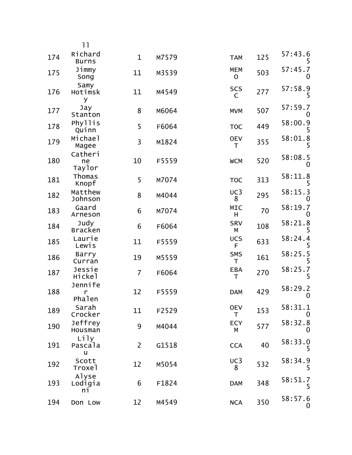|     | 11                      |                |       |                      |     |                     |
|-----|-------------------------|----------------|-------|----------------------|-----|---------------------|
| 174 | Richard<br><b>Burns</b> | $\mathbf 1$    | M7579 | <b>TAM</b>           | 125 | 57:43.6             |
| 175 | Jimmy<br>Song           | 11             | M3539 | <b>MEM</b><br>0      | 503 | 57:45.7<br>0        |
| 176 | Samy<br>Hotimsk<br>У    | 11             | M4549 | <b>SCS</b><br>C      | 277 | 57:58.9<br>5        |
| 177 | Jay<br>Stanton          | 8              | M6064 | <b>MVM</b>           | 507 | 57:59.7<br>0        |
| 178 | Phyllis<br>Quinn        | 5              | F6064 | <b>TOC</b>           | 449 | 58:00.9             |
| 179 | Michael<br>Magee        | 3              | M1824 | <b>OEV</b><br>Τ      | 355 | 58:01.8<br>5        |
| 180 | Catheri<br>ne<br>Taylor | 10             | F5559 | <b>WCM</b>           | 520 | 58:08.5             |
| 181 | Thomas<br>Knopf         | 5              | M7074 | <b>TOC</b>           | 313 | 58:11.8<br>5        |
| 182 | Matthew<br>Johnson      | 8              | M4044 | UC3<br>8             | 295 | 58:15.3             |
| 183 | Gaard<br>Arneson        | 6              | M7074 | <b>MIC</b><br>H      | 70  | 58:19.7<br>0        |
| 184 | Judy<br><b>Bracken</b>  | 6              | F6064 | <b>SRV</b><br>М      | 108 | 58:21.8<br>5        |
| 185 | Laurie<br>Lewis         | 11             | F5559 | <b>UCS</b><br>F.     | 633 | 58:24.4<br>5        |
| 186 | Barry<br>Curran         | 19             | M5559 | <b>SMS</b><br>T      | 161 | 58:25.5             |
| 187 | Jessie<br>Hickel        | $\overline{7}$ | F6064 | <b>EBA</b><br>T      | 270 | 58:25.7<br>5        |
| 188 | Jennife<br>r<br>Phalen  | 12             | F5559 | <b>DAM</b>           | 429 | 58:29.2<br>0        |
| 189 | Sarah<br>Crocker        | 11             | F2529 | <b>OEV</b><br>$\top$ | 153 | 58:31.1<br>$\bf{0}$ |
| 190 | Jeffrey<br>Housman      | 9              | M4044 | <b>ECY</b><br>М      | 577 | 58:32.8<br>0        |
| 191 | Lily<br>Pascala<br>u    | $\overline{2}$ | G1518 | <b>CCA</b>           | 40  | 58:33.0<br>5        |
| 192 | Scott<br>Troxel         | 12             | M5054 | UC3<br>8             | 532 | 58:34.9<br>5        |
| 193 | Alyse<br>Lodigia<br>ni  | 6              | F1824 | <b>DAM</b>           | 348 | 58:51.7<br>5        |
| 194 | Don Low                 | 12             | M4549 | <b>NCA</b>           | 350 | 58:57.6<br>0        |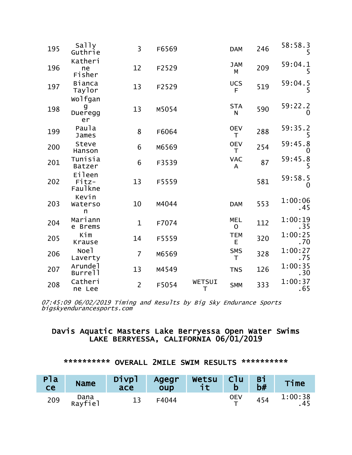| 195 | Sally<br>Guthrie                  | 3              | F6569 |             | <b>DAM</b>              | 246 | 58:58.3<br>5    |
|-----|-----------------------------------|----------------|-------|-------------|-------------------------|-----|-----------------|
| 196 | Katheri<br>ne<br>Fisher           | 12             | F2529 |             | <b>JAM</b><br>M         | 209 | 59:04.1<br>5    |
| 197 | Bianca<br>Taylor                  | 13             | F2529 |             | <b>UCS</b><br>F         | 519 | 59:04.5<br>5    |
| 198 | wolfgan<br>g<br>Dueregg<br>er     | 13             | M5054 |             | <b>STA</b><br>${\sf N}$ | 590 | 59:22.2<br>0    |
| 199 | Paula<br>James                    | 8              | F6064 |             | <b>OEV</b><br>T         | 288 | 59:35.2<br>5    |
| 200 | Steve<br>Hanson                   | 6              | M6569 |             | <b>OEV</b><br>T.        | 254 | 59:45.8<br>0    |
| 201 | Tunisia<br>Batzer                 | 6              | F3539 |             | <b>VAC</b><br>A         | 87  | 59:45.8<br>5    |
| 202 | <b>Eileen</b><br>Fitz-<br>Faulkne | 13             | F5559 |             |                         | 581 | 59:58.5<br>0    |
| 203 | Kevin<br>Waterso<br>n             | 10             | M4044 |             | <b>DAM</b>              | 553 | 1:00:06<br>.45  |
| 204 | Mariann<br>e Brems                | $\mathbf{1}$   | F7074 |             | <b>MEL</b><br>$\Omega$  | 112 | 1:00:19<br>. 35 |
| 205 | Kim<br>Krause                     | 14             | F5559 |             | <b>TEM</b><br>E         | 320 | 1:00:25<br>. 70 |
| 206 | Noe1<br>Laverty                   | $\overline{7}$ | M6569 |             | <b>SMS</b><br>T         | 328 | 1:00:27<br>. 75 |
| 207 | Arunde <sub>1</sub><br>Burrell    | 13             | M4549 |             | <b>TNS</b>              | 126 | 1:00:35<br>.30  |
| 208 | Catheri<br>ne Lee                 | $\overline{2}$ | F5054 | WETSUI<br>T | <b>SMM</b>              | 333 | 1:00:37<br>.65  |

# Davis Aquatic Masters Lake Berryessa Open Water Swims<br>LAKE BERRYESSA, CALIFORNIA 06/01/2019

| Pla<br>ce | <b>Name</b>     | Divpl<br>ace | Agegr<br>oup | Wetsu | <b>C</b> lu | <b>Bi</b><br>b# | Time            |
|-----------|-----------------|--------------|--------------|-------|-------------|-----------------|-----------------|
| 209       | Dana<br>Rayfiel |              | F4044        |       | OEV         | 454             | 1:00:38<br>. 45 |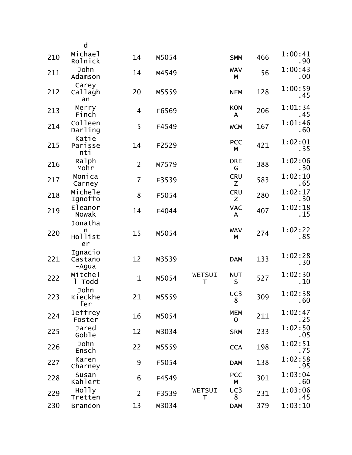|     | d                             |                |       |             |                           |     |                 |
|-----|-------------------------------|----------------|-------|-------------|---------------------------|-----|-----------------|
| 210 | Michael<br>Rolnick            | 14             | M5054 |             | <b>SMM</b>                | 466 | 1:00:41<br>.90  |
| 211 | John<br>Adamson               | 14             | M4549 |             | <b>WAV</b><br>М           | 56  | 1:00:43<br>.00  |
| 212 | Carey<br>Callagh<br>an        | 20             | M5559 |             | <b>NEM</b>                | 128 | 1:00:59<br>. 45 |
| 213 | Merry<br>Finch                | 4              | F6569 |             | <b>KON</b><br>A           | 206 | 1:01:34<br>. 45 |
| 214 | Colleen<br>Darling            | 5              | F4549 |             | <b>WCM</b>                | 167 | 1:01:46<br>.60  |
| 215 | Katie<br>Parisse<br>nti       | 14             | F2529 |             | <b>PCC</b><br>М           | 421 | 1:02:01<br>. 35 |
| 216 | Ralph<br>Mohr                 | $\overline{2}$ | M7579 |             | <b>ORE</b><br>G           | 388 | 1:02:06<br>. 30 |
| 217 | Monica<br>Carney              | $\overline{7}$ | F3539 |             | <b>CRU</b><br>Z           | 583 | 1:02:10<br>. 65 |
| 218 | Michele<br>Ignoffo            | 8              | F5054 |             | <b>CRU</b><br>Z           | 280 | 1:02:17<br>.30  |
| 219 | Eleanor<br>Nowak              | 14             | F4044 |             | <b>VAC</b><br>A           | 407 | 1:02:18<br>.15  |
| 220 | Jonatha<br>n<br>Hollist<br>er | 15             | M5054 |             | <b>WAV</b><br>M           | 274 | 1:02:22<br>.85  |
| 221 | Ignacio<br>Castano<br>-Agua   | 12             | M3539 |             | <b>DAM</b>                | 133 | 1:02:28<br>.30  |
| 222 | Mitchel<br>1 Todd             | $\mathbf 1$    | M5054 | WETSUI<br>T | <b>NUT</b><br>$\sf S$     | 527 | 1:02:30<br>. 10 |
| 223 | John<br>Kieckhe<br>fer        | 21             | M5559 |             | UC3<br>8                  | 309 | 1:02:38<br>.60  |
| 224 | Jeffrey<br>Foster             | 16             | M5054 |             | <b>MEM</b><br>$\mathsf O$ | 211 | 1:02:47<br>. 25 |
| 225 | Jared<br>Goble                | 12             | M3034 |             | <b>SRM</b>                | 233 | 1:02:50<br>.05  |
| 226 | John<br>Ensch                 | 22             | M5559 |             | <b>CCA</b>                | 198 | 1:02:51<br>. 75 |
| 227 | Karen<br>Charney              | 9              | F5054 |             | <b>DAM</b>                | 138 | 1:02:58<br>.95  |
| 228 | Susan<br>Kahlert              | 6              | F4549 |             | <b>PCC</b><br>М           | 301 | 1:03:04<br>.60  |
| 229 | Holly<br>Tretten              | $\overline{2}$ | F3539 | WETSUI<br>T | UC3<br>8                  | 231 | 1:03:06<br>. 45 |
| 230 | <b>Brandon</b>                | 13             | M3034 |             | <b>DAM</b>                | 379 | 1:03:10         |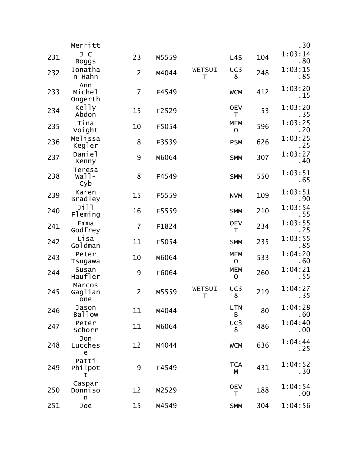|     | Merritt                  |                |       |             |                            |     | .30                 |
|-----|--------------------------|----------------|-------|-------------|----------------------------|-----|---------------------|
| 231 | J C<br><b>Boggs</b>      | 23             | M5559 |             | L <sub>4</sub> S           | 104 | 1:03:14<br>.80      |
| 232 | Jonatha<br>n Hahn        | $\overline{2}$ | M4044 | WETSUI<br>T | UC3<br>8                   | 248 | 1:03:15<br>.85      |
| 233 | Ann<br>Michel<br>Ongerth | $\overline{7}$ | F4549 |             | <b>WCM</b>                 | 412 | 1:03:20<br>. 15     |
| 234 | Kelly<br>Abdon           | 15             | F2529 |             | <b>OEV</b><br>T            | 53  | 1:03:20<br>. 35     |
| 235 | Tina<br>Voight           | 10             | F5054 |             | <b>MEM</b><br>$\mathsf{O}$ | 596 | 1:03:25<br>.20      |
| 236 | Melissa<br>Kegler        | 8              | F3539 |             | <b>PSM</b>                 | 626 | 1:03:25<br>.25      |
| 237 | Daniel<br>Kenny          | 9              | M6064 |             | <b>SMM</b>                 | 307 | 1:03:27<br>. 40     |
| 238 | Teresa<br>$Wa11-$<br>Cyb | 8              | F4549 |             | <b>SMM</b>                 | 550 | 1:03:51<br>.65      |
| 239 | Karen<br><b>Bradley</b>  | 15             | F5559 |             | <b>NVM</b>                 | 109 | 1:03:51<br>.90      |
| 240 | Jill<br>Fleming          | 16             | F5559 |             | <b>SMM</b>                 | 210 | 1:03:54<br>. 55     |
| 241 | Emma<br>Godfrey          | $\overline{7}$ | F1824 |             | <b>OEV</b><br>Τ            | 234 | 1:03:55<br>.25      |
| 242 | Lisa<br>Goldman          | 11             | F5054 |             | <b>SMM</b>                 | 235 | 1:03:55<br>.85      |
| 243 | Peter<br>Tsugawa         | 10             | M6064 |             | <b>MEM</b><br>$\mathsf O$  | 533 | 1:04:20<br>.60      |
| 244 | Susan<br>Haufler         | 9              | F6064 |             | <b>MEM</b><br>$\mathbf O$  | 260 | 1:04:21<br>.55      |
| 245 | Marcos<br>Gaglian<br>one | $\overline{2}$ | M5559 | WETSUI<br>T | UC3<br>8                   | 219 | 1:04:27<br>.35      |
| 246 | Jason<br><b>Ballow</b>   | 11             | M4044 |             | <b>LTN</b><br>В            | 80  | 1:04:28<br>.60      |
| 247 | Peter<br>Schorr          | 11             | M6064 |             | UC3<br>8                   | 486 | 1:04:40<br>$.00 \,$ |
| 248 | Jon<br>Lucches<br>e      | 12             | M4044 |             | <b>WCM</b>                 | 636 | 1:04:44<br>.25      |
| 249 | Patti<br>Philpot<br>t    | 9              | F4549 |             | <b>TCA</b><br>M            | 431 | 1:04:52<br>.30      |
| 250 | Caspar<br>Donniso<br>n   | 12             | M2529 |             | <b>OEV</b><br>T            | 188 | 1:04:54<br>$.00 \,$ |
| 251 | Joe                      | 15             | M4549 |             | <b>SMM</b>                 | 304 | 1:04:56             |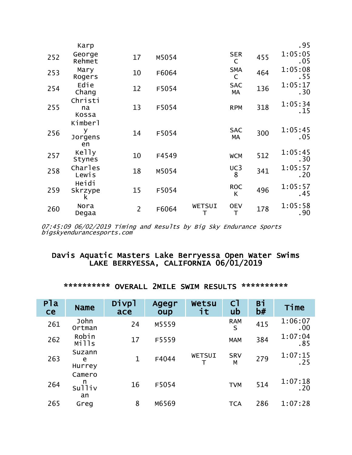|     | Karp                          |                |       |                    |                            |     | .95             |
|-----|-------------------------------|----------------|-------|--------------------|----------------------------|-----|-----------------|
| 252 | George<br>Rehmet              | 17             | M5054 |                    | <b>SER</b><br>$\mathsf{C}$ | 455 | 1:05:05<br>.05  |
| 253 | Mary<br>Rogers                | 10             | F6064 |                    | <b>SMA</b><br>$\mathsf{C}$ | 464 | 1:05:08<br>. 55 |
| 254 | Edie<br>Chang                 | 12             | F5054 |                    | <b>SAC</b><br>МA           | 136 | 1:05:17<br>.30  |
| 255 | Christi<br>na<br>Kossa        | 13             | F5054 |                    | <b>RPM</b>                 | 318 | 1:05:34<br>.15  |
| 256 | Kimberl<br>У<br>Jorgens<br>en | 14             | F5054 |                    | <b>SAC</b><br>МA           | 300 | 1:05:45<br>.05  |
| 257 | Kelly<br>Stynes               | 10             | F4549 |                    | <b>WCM</b>                 | 512 | 1:05:45<br>.30  |
| 258 | Charles<br>Lewis              | 18             | M5054 |                    | UC3<br>8                   | 341 | 1:05:57<br>.20  |
| 259 | Heidi<br>Skrzype<br>k         | 15             | F5054 |                    | <b>ROC</b><br>K            | 496 | 1:05:57<br>.45  |
| 260 | Nora<br>Degaa                 | $\overline{2}$ | F6064 | <b>WETSUI</b><br>Т | <b>OEV</b><br>Τ            | 178 | 1:05:58<br>.90  |

# Davis Aquatic Masters Lake Berryessa Open Water Swims<br>LAKE BERRYESSA, CALIFORNIA 06/01/2019

| P <sub>la</sub><br><b>ce</b> | <b>Name</b>                 | Divpl<br>ace | Agegr<br>oup | Wetsu<br>it | C <sub>1</sub><br>ub | Bi<br>b# | Time           |
|------------------------------|-----------------------------|--------------|--------------|-------------|----------------------|----------|----------------|
| 261                          | John<br>Ortman              | 24           | M5559        |             | <b>RAM</b><br>S      | 415      | 1:06:07<br>.00 |
| 262                          | Robin<br>Mills              | 17           | F5559        |             | <b>MAM</b>           | 384      | 1:07:04<br>.85 |
| 263                          | Suzann<br>e<br>Hurrey       | $\mathbf{1}$ | F4044        | WETSUI      | <b>SRV</b><br>M      | 279      | 1:07:15<br>.25 |
| 264                          | Camero<br>n<br>Sulliv<br>an | 16           | F5054        |             | <b>TVM</b>           | 514      | 1:07:18<br>.20 |
| 265                          | Greg                        | 8            | M6569        |             | <b>TCA</b>           | 286      | 1:07:28        |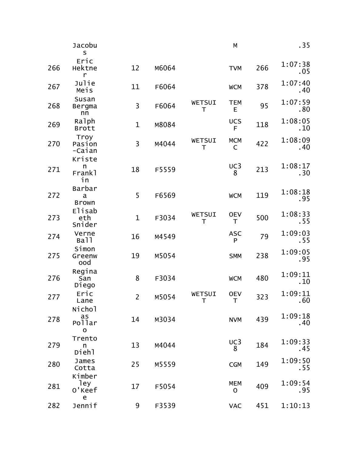|     | Jacobu<br>S                                                           |                |       |                  | М                         |     | .35             |
|-----|-----------------------------------------------------------------------|----------------|-------|------------------|---------------------------|-----|-----------------|
| 266 | Eric<br>Hektne<br>r                                                   | 12             | M6064 |                  | <b>TVM</b>                | 266 | 1:07:38<br>.05  |
| 267 | Julie<br>Meis                                                         | 11             | F6064 |                  | <b>WCM</b>                | 378 | 1:07:40<br>.40  |
| 268 | Susan<br>Bergma<br>nn                                                 | 3              | F6064 | WETSUI<br>$\top$ | <b>TEM</b><br>E           | 95  | 1:07:59<br>.80  |
| 269 | Ralph<br><b>Brott</b>                                                 | $\mathbf 1$    | M8084 |                  | <b>UCS</b><br>F           | 118 | 1:08:05<br>.10  |
| 270 | Troy<br>Pasion<br>-Caian                                              | 3              | M4044 | WETSUI<br>T      | <b>MCM</b><br>C           | 422 | 1:08:09<br>.40  |
| 271 | Kriste<br>n<br>Frank <sub>1</sub><br>in                               | 18             | F5559 |                  | UC3<br>8                  | 213 | 1:08:17<br>.30  |
| 272 | Barbar<br>a<br><b>Brown</b>                                           | 5              | F6569 |                  | <b>WCM</b>                | 119 | 1:08:18<br>.95  |
| 273 | Elisab<br>eth<br>Snider                                               | $\mathbf 1$    | F3034 | WETSUI<br>T      | <b>OEV</b><br>T           | 500 | 1:08:33<br>.55  |
| 274 | Verne<br>Ball                                                         | 16             | M4549 |                  | <b>ASC</b><br>P           | 79  | 1:09:03<br>. 55 |
| 275 | Simon<br>Greenw<br>ood                                                | 19             | M5054 |                  | <b>SMM</b>                | 238 | 1:09:05<br>.95  |
| 276 | Regina<br>San<br>Diego                                                | 8              | F3034 |                  | <b>WCM</b>                | 480 | 1:09:11<br>.10  |
| 277 | Eric<br>Lane                                                          | $\overline{2}$ | M5054 | WETSUI<br>Т      | <b>OEV</b><br>T           | 323 | 1:09:11<br>.60  |
| 278 | Nichol<br>as<br>Pollar<br>$\mathbf{o}$                                | 14             | M3034 |                  | <b>NVM</b>                | 439 | 1:09:18<br>.40  |
| 279 | Trento<br>n<br>Diehl                                                  | 13             | M4044 |                  | UC3<br>8                  | 184 | 1:09:33<br>.45  |
| 280 | James<br>Cotta                                                        | 25             | M5559 |                  | <b>CGM</b>                | 149 | 1:09:50<br>. 55 |
| 281 | Kimber<br>ley<br>0'Keef<br>$\mathsf{e}% _{t}\left( \mathsf{e}\right)$ | 17             | F5054 |                  | <b>MEM</b><br>$\mathbf 0$ | 409 | 1:09:54<br>.95  |
| 282 | Jennif                                                                | 9              | F3539 |                  | <b>VAC</b>                | 451 | 1:10:13         |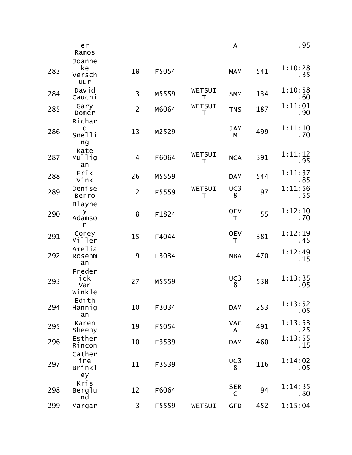|     | er<br>Ramos                      |                |       |             | A                    |     | .95             |
|-----|----------------------------------|----------------|-------|-------------|----------------------|-----|-----------------|
|     | Joanne                           |                |       |             |                      |     |                 |
| 283 | ke<br>Versch<br>uur              | 18             | F5054 |             | <b>MAM</b>           | 541 | 1:10:28<br>.35  |
| 284 | David<br>Cauchi                  | 3              | M5559 | WETSUI<br>Τ | <b>SMM</b>           | 134 | 1:10:58<br>.60  |
| 285 | Gary<br>Domer<br>Richar          | $\overline{2}$ | M6064 | WETSUI<br>T | <b>TNS</b>           | 187 | 1:11:01<br>.90  |
| 286 | d<br>Snelli<br>ng                | 13             | M2529 |             | <b>JAM</b><br>M      | 499 | 1:11:10<br>.70  |
| 287 | Kate<br>Mullig<br>an             | $\overline{4}$ | F6064 | WETSUI<br>T | <b>NCA</b>           | 391 | 1:11:12<br>.95  |
| 288 | Erik<br>Vink                     | 26             | M5559 |             | <b>DAM</b>           | 544 | 1:11:37<br>.85  |
| 289 | Denise<br>Berro<br><b>Blayne</b> | $\overline{2}$ | F5559 | WETSUI<br>T | UC3<br>8             | 97  | 1:11:56<br>.55  |
| 290 | У<br>Adamso<br>n                 | 8              | F1824 |             | <b>OEV</b><br>$\top$ | 55  | 1:12:10<br>.70  |
| 291 | Corey<br>Miller                  | 15             | F4044 |             | <b>OEV</b><br>T      | 381 | 1:12:19<br>.45  |
| 292 | Amelia<br>Rosenm<br>an           | 9              | F3034 |             | <b>NBA</b>           | 470 | 1:12:49<br>.15  |
| 293 | Freder<br>ick<br>Van<br>Winkle   | 27             | M5559 |             | UC3<br>8             | 538 | 1:13:35<br>.05  |
| 294 | Edith<br>Hannig<br>an            | 10             | F3034 |             | <b>DAM</b>           | 253 | 1:13:52<br>.05  |
| 295 | Karen<br>Sheehy                  | 19             | F5054 |             | <b>VAC</b><br>A      | 491 | 1:13:53<br>. 25 |
| 296 | Esther<br>Rincon                 | 10             | F3539 |             | <b>DAM</b>           | 460 | 1:13:55<br>. 15 |
| 297 | Cather<br>ine<br>Brinkl<br>ey    | 11             | F3539 |             | UC3<br>8             | 116 | 1:14:02<br>.05  |
| 298 | Kris<br>Berglu<br>nd             | 12             | F6064 |             | <b>SER</b><br>C      | 94  | 1:14:35<br>.80  |
| 299 | Margar                           | 3              | F5559 | WETSUI      | <b>GFD</b>           | 452 | 1:15:04         |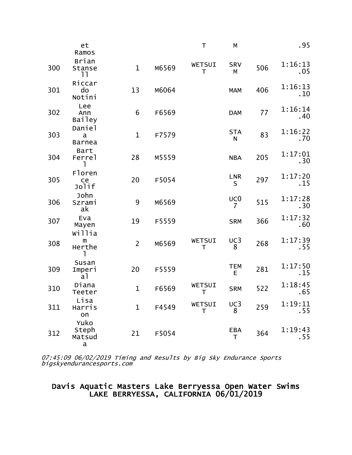|     | et<br>Ramos                             |                |       | T                      | M                    |     | .95             |
|-----|-----------------------------------------|----------------|-------|------------------------|----------------------|-----|-----------------|
| 300 | <b>Brian</b><br>Stanse<br>11            | $\mathbf{1}$   | M6569 | WETSUI<br>T            | <b>SRV</b><br>M      | 506 | 1:16:13<br>.05  |
| 301 | Riccar<br>do<br>Notini                  | 13             | M6064 |                        | <b>MAM</b>           | 406 | 1:16:13<br>.10  |
| 302 | Lee<br>Ann<br><b>Bailey</b>             | 6              | F6569 |                        | <b>DAM</b>           | 77  | 1:16:14<br>.40  |
| 303 | Daniel<br>a<br><b>Barnea</b>            | $\mathbf 1$    | F7579 |                        | <b>STA</b><br>N      | 83  | 1:16:22<br>.70  |
| 304 | Bart<br>Ferre <sub>1</sub>              | 28             | M5559 |                        | <b>NBA</b>           | 205 | 1:17:01<br>.30  |
| 305 | Floren<br>ce<br>Jolif                   | 20             | F5054 |                        | <b>LNR</b><br>S      | 297 | 1:17:20<br>.15  |
| 306 | John<br>Szrami<br>ak                    | 9              | M6569 |                        | UC <sub>0</sub><br>7 | 515 | 1:17:28<br>.30  |
| 307 | Eva<br>Mayen<br>willia                  | 19             | F5559 |                        | <b>SRM</b>           | 366 | 1:17:32<br>.60  |
| 308 | m<br>Herthe<br><sub>1</sub>             | $\overline{2}$ | M6569 | WETSUI<br>Τ            | UC3<br>8             | 268 | 1:17:39<br>.55  |
| 309 | Susan<br>Imperi<br>a1                   | 20             | F5559 |                        | <b>TEM</b><br>E      | 281 | 1:17:50<br>.15  |
| 310 | Diana<br>Teeter                         | $\mathbf{1}$   | F6569 | WETSUI<br>Τ            | <b>SRM</b>           | 522 | 1:18:45<br>.65  |
| 311 | Lisa<br>Harris<br>on                    | $\mathbf{1}$   | F4549 | WETSUI<br>$\mathsf{T}$ | UC3<br>8             | 259 | 1:19:11<br>.55  |
| 312 | Yuko<br>Steph<br>Matsud<br>$\mathbf{a}$ | 21             | F5054 |                        | EBA<br>T             | 364 | 1:19:43<br>. 55 |

### Davis Aquatic Masters Lake Berryessa Open Water Swims<br>LAKE BERRYESSA, CALIFORNIA 06/01/2019